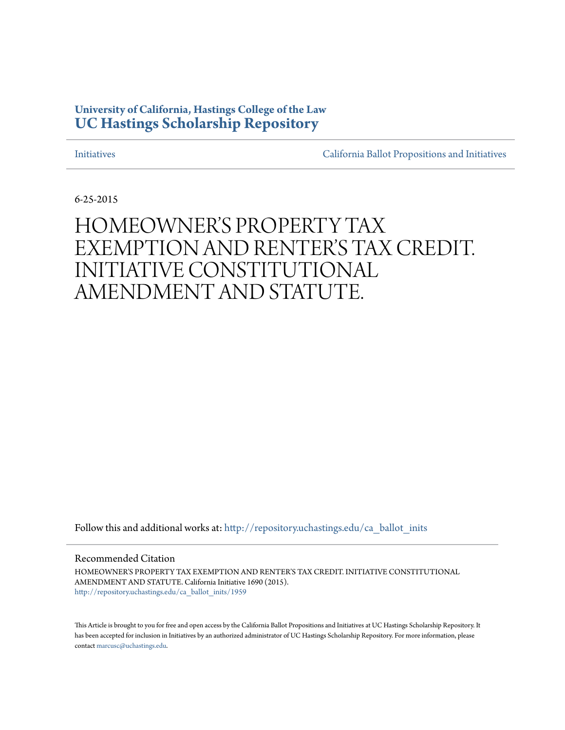## **University of California, Hastings College of the Law [UC Hastings Scholarship Repository](http://repository.uchastings.edu?utm_source=repository.uchastings.edu%2Fca_ballot_inits%2F1959&utm_medium=PDF&utm_campaign=PDFCoverPages)**

[Initiatives](http://repository.uchastings.edu/ca_ballot_inits?utm_source=repository.uchastings.edu%2Fca_ballot_inits%2F1959&utm_medium=PDF&utm_campaign=PDFCoverPages) [California Ballot Propositions and Initiatives](http://repository.uchastings.edu/ca_ballots?utm_source=repository.uchastings.edu%2Fca_ballot_inits%2F1959&utm_medium=PDF&utm_campaign=PDFCoverPages)

6-25-2015

# HOMEOWNER'S PROPERTY TAX EXEMPTION AND RENTER'S TAX CREDIT. INITIATIVE CONSTITUTIONAL AMENDMENT AND STATUTE.

Follow this and additional works at: [http://repository.uchastings.edu/ca\\_ballot\\_inits](http://repository.uchastings.edu/ca_ballot_inits?utm_source=repository.uchastings.edu%2Fca_ballot_inits%2F1959&utm_medium=PDF&utm_campaign=PDFCoverPages)

Recommended Citation

HOMEOWNER'S PROPERTY TAX EXEMPTION AND RENTER'S TAX CREDIT. INITIATIVE CONSTITUTIONAL AMENDMENT AND STATUTE. California Initiative 1690 (2015). [http://repository.uchastings.edu/ca\\_ballot\\_inits/1959](http://repository.uchastings.edu/ca_ballot_inits/1959?utm_source=repository.uchastings.edu%2Fca_ballot_inits%2F1959&utm_medium=PDF&utm_campaign=PDFCoverPages)

This Article is brought to you for free and open access by the California Ballot Propositions and Initiatives at UC Hastings Scholarship Repository. It has been accepted for inclusion in Initiatives by an authorized administrator of UC Hastings Scholarship Repository. For more information, please contact [marcusc@uchastings.edu](mailto:marcusc@uchastings.edu).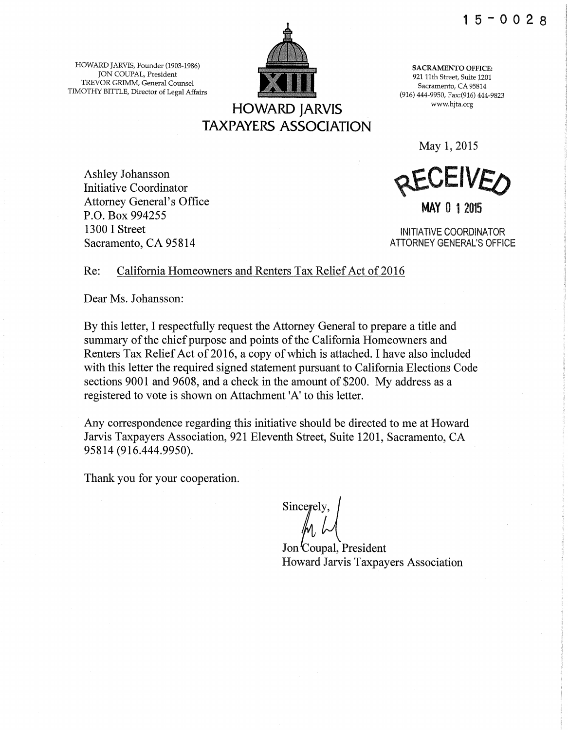HOWARD JARVIS, Founder (1903-1986) JON COUPAL, President TREVOR GRIMM, General Counsel TIMOTHY BITTLE, Director of Legal Affairs



SACRAMENTO OFFICE: 921 11th Street, Suite 1201 Sacramento, CA 95814 (916) 444-9950, Fax:(916) 444-9823 www.hjta.org

May 1, 2015

Ashley Johansson Initiative Coordinator Attorney General's Office P.O. Box 994255 1300 I Street Sacramento, CA 95814

**BEAFIAED** 

MAY 0 1 2015

INITIATIVE COORDINATOR ATTORNEY GENERAL'S OFFICE

### Re: California Homeowners and Renters Tax Relief Act of 2016

Dear Ms. Johansson:

By this letter, I respectfully request the Attorney General to prepare a title and summary of the chief purpose and points of the California Homeowners and Renters Tax Relief Act of 2016, a copy of which is attached. I have also included with this letter the required signed statement pursuant to California Elections Code sections 9001 and 9608, and a check in the amount of \$200. My address as a registered to vote is shown on Attachment 'A' to this letter.

Any correspondence regarding this initiative should be directed to me at Howard Jarvis Taxpayers Association, 921 Eleventh Street, Suite 1201, Sacramento, CA 95814 (916.444.9950).

Thank you for your cooperation.

Sincerely.  $\parallel$   $\parallel$   $\parallel$   $\parallel$ 

Jon Coupal, President Howard Jarvis Taxpayers Association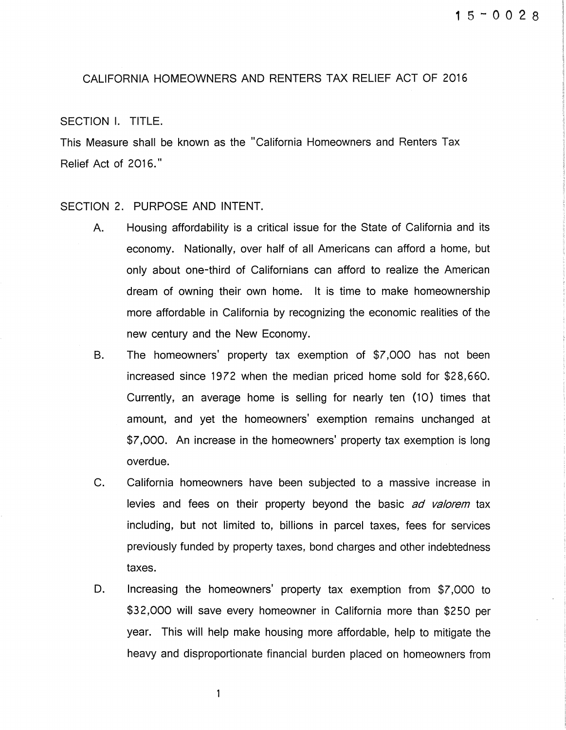#### CALIFORNIA HOMEOWNERS AND RENTERS TAX RELIEF ACT OF 2016

#### SECTION I. TITLE.

This Measure shall be known as the "California Homeowners and Renters Tax Relief Act of 2016."

#### SECTION 2. PURPOSE AND INTENT.

- A. Housing affordability is a critical issue for the State of California and its economy. Nationally, over half of all Americans can afford a home, but only about one-third of Californians can afford to realize the American dream of owning their own home. It is time to make homeownership more affordable in California by recognizing the economic realities of the new century and the New Economy.
- B. The homeowners' property tax exemption of \$7,000 has not been increased since 1972 when the median priced home sold for \$28,660. Currently, an average home is selling for nearly ten (10} times that amount, and yet the homeowners' exemption remains unchanged at \$7,000. An increase in the homeowners' property tax exemption is long overdue.
- C. California homeowners have been subjected to a massive increase in levies and fees on their property beyond the basic ad valorem tax including, but not limited to, billions in parcel taxes, fees for services previously funded by property taxes, bond charges and other indebtedness taxes.
- D. Increasing the homeowners' property tax exemption from \$7,000 to \$32,000 will save every homeowner in California more than \$250 per year. This will help make housing more affordable, help to mitigate the heavy and disproportionate financial burden placed on homeowners from

 $\mathbf{1}$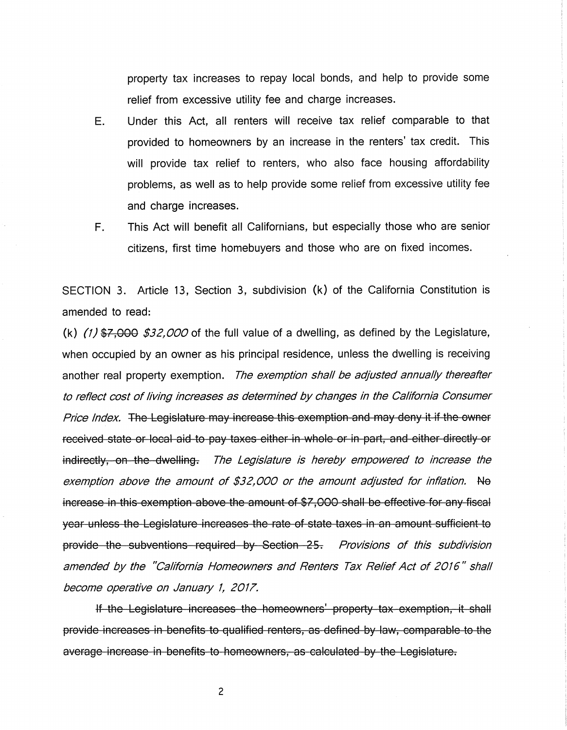property tax increases to repay local bonds, and help to provide some relief from excessive utility fee and charge increases.

- E. Under this Act, all renters will receive tax relief comparable to that provided to homeowners by an increase in the renters' tax credit. This will provide tax relief to renters, who also face housing affordability problems, as well as to help provide some relief from excessive utility fee and charge increases.
- F. This Act will benefit all Californians, but especially those who are senior citizens, first time homebuyers and those who are on fixed incomes.

SECTION 3. Article 13, Section 3, subdivision (k) of the California Constitution is amended to read:

(k)  $(1)$  \$7,000 \$32,000 of the full value of a dwelling, as defined by the Legislature, when occupied by an owner as his principal residence, unless the dwelling is receiving another real property exemption. The exemption shall be adjusted annually thereafter to reflect cost of living increases as determined by changes in the California Consumer Price Index. The Legislature may increase this exemption and may deny it if the owner received state or local aid to pay taxes either in whole or in part, and either directly or indirectly, on the dwelling. The Legislature is hereby empowered to increase the exemption above the amount of \$32,000 or the amount adjusted for inflation. No increase in this exemption above the amount of \$7,000 shall be effective for any fiscal year unless the Legislature increases the rate of state taxes in an amount sufficient to provide the subventions required by Section 25. Provisions of this subdivision amended by the "California Homeowners and Renters Tax Relief Act of 2016" shall become operative on January 1, 2017.

If the Legislature increases the homeovmers' property tax exemption, it shall provide increases in benefits to qualified renters, as defined by law, comparable to the average increase in benefits to homeowners, as calculated by the Legislature.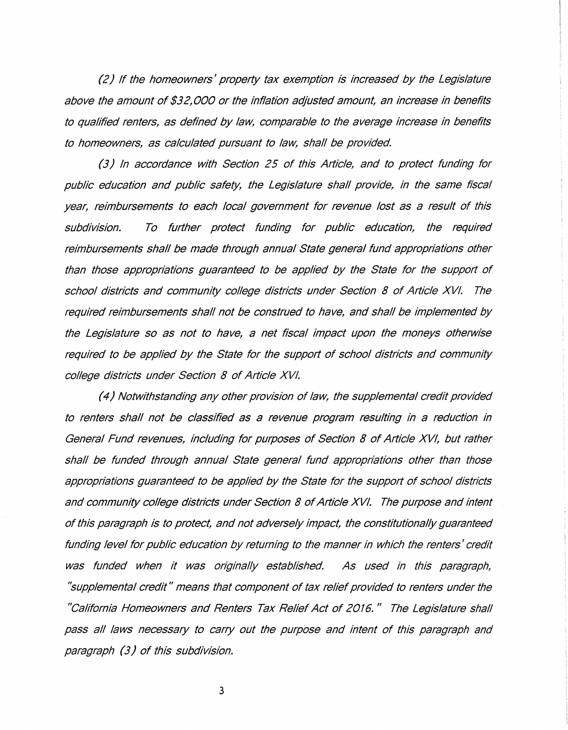(2) If the homeowners' property tax exemption is increased by the Legislature above the amount of \$32,000 or the inflation adjusted amount, an increase in benefits to qualified renters, as defined by law, comparable to the average increase in benefits to homeowners, as calculated pursuant to law, shall be provided

(3) In accordance with Section 25 of this Article, and to protect funding for public education and public safety, the Legislature shall provide, in the same fiscal year, reimbursements to each local government for revenue lost as a result of this subdivision. To further protect funding for public education, the required reimbursements shall be made through annual State general fund appropriations other than those appropriations guaranteed to be applied by the State for the support of school districts and community college districts under Section 8 of Article XVI. The required reimbursements shall not be construed to have, and shall be implemented by the Legislature so as not to have, a net fiscal impact upon the moneys otherwise required to be applied by the State for the support of school districts and community college districts under Section 8 of Article XVI.

( 4) Notwithstanding any other provision of law, the supplemental credit provided to renters shall not be classified as a revenue program resulting in a reduction in General Fund revenues, including for purposes of Section 8 of Article XVI, but rather shall be funded through annual State general fund appropriations other than those appropriations guaranteed to be applied by the State for the support of school districts and community college districts under Section 8 of Article XVI. The purpose and intent of this paragraph is to protect, and not adversely impact, the constitutionally guaranteed funding level for public education by returning to the manner in which the renters' credit was funded when it was originally established. As used in this paragraph, ''supplemental credit" means that component of tax relief provided to renters under the "California Homeowners and Renters Tax Relief Act of 2016. " The Legislature shall pass all laws necessary to carry out the purpose and intent of this paragraph and paragraph (3) of this subdivision.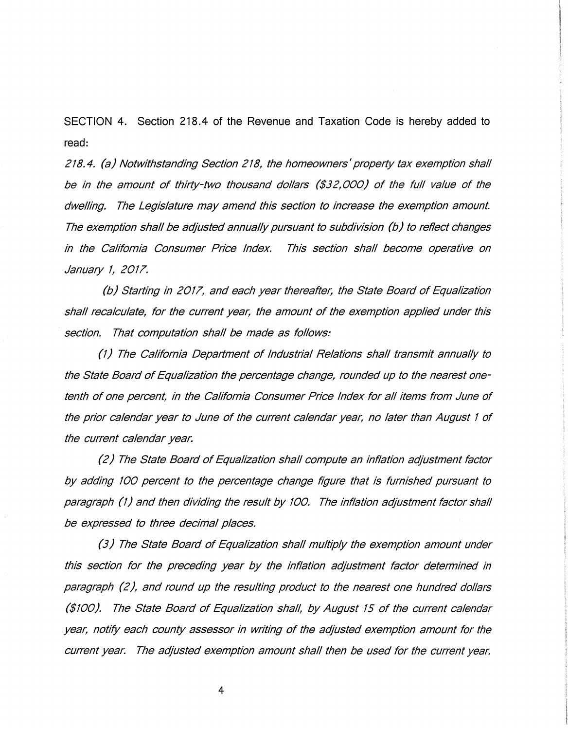SECTION 4. Section 218.4 of the Revenue and Taxation Code is hereby added to read:

218. 4. (a) Notwithstanding Section 218, the homeowners' property tax exemption shall be in the amount of thirty-two thousand dollars (\$32,000) of the full value of the dwelling. The Legislature may amend this section to increase the exemption amount. The exemption shall be adjusted annually pursuant to subdivision (b) to reflect changes in the California Consumer Price Index. This section shall become operative on January 1, 2017.

(b) Starting in 2017, and each year thereafter, the State Board of Equalization shall recalculate, for the current year, the amount of the exemption applied under this section. That computation shall be made as follows:

(1) The California Department of Industrial Relations shall transmit annually to the State Board of Equalization the percentage change, rounded up to the nearest onetenth of one percent, in the California Consumer Price Index for all items from June of the prior calendar year to June of the current calendar year, no later than August 1 of the current calendar year.

(2) The State Board of Equalization shall compute an inflation adjustment factor by adding 100 percent to the percentage change figure that is furnished pursuant to paragraph *(1)* and then dividing the result by 100. The inflation adjustment factor shall be expressed to three decimal places.

(3) The State Board of Equalization shall multiply the exemption amount under this section for the preceding year by the inflation adjustment factor determined in paragraph (2 ), and round up the resulting product to the nearest one hundred dollars (\$100). The State Board of Equalization shall, by August 15 of the current calendar year, notify each county assessor in writing of the adjusted exemption amount for the current year. The adjusted exemption amount shall then be used for the current year.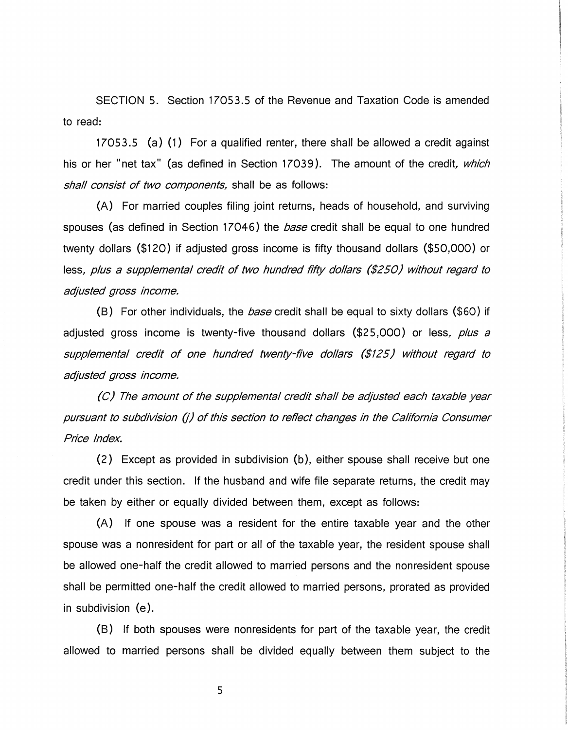SECTION 5. Section 17053.5 of the Revenue and Taxation Code is amended to read:

17053.5 (a) (1) For a qualified renter, there shall be allowed a credit against his or her "net tax" (as defined in Section 17039). The amount of the credit, which shall consist of two components, shall be as follows:

(A) For married couples filing joint returns, heads of household, and surviving spouses (as defined in Section 17046) the *base* credit shall be equal to one hundred twenty dollars (\$120) if adjusted gross income is fifty thousand dollars (\$50,000) or less, plus a supplemental credit of two hundred fifty dollars (\$250) without regard to adjusted gross income.

(B) For other individuals, the *base* credit shall be equal to sixty dollars (\$60) if adjusted gross income is twenty-five thousand dollars  $($25,000)$  or less, plus a supplemental credit of one hundred twenty-five dollars (\$125) without regard to adjusted gross income.

(C) The amount of the supplemental credit shall be adjusted each taxable year pursuant to subdivision (i) of this section to reflect changes in the California Consumer Price Index.

(2) Except as provided in subdivision (b), either spouse shall receive but one credit under this section. If the husband and wife file separate returns, the credit may be taken by either or equally divided between them, except as follows:

(A) If one spouse was a resident for the entire taxable year and the other spouse was a nonresident for part or all of the taxable year, the resident spouse shall be allowed one-half the credit allowed to married persons and the nonresident spouse shall be permitted one-half the credit allowed to married persons, prorated as provided in subdivision (e).

(B) If both spouses were nonresidents for part of the taxable year, the credit allowed to married persons shall be divided equally between them subject to the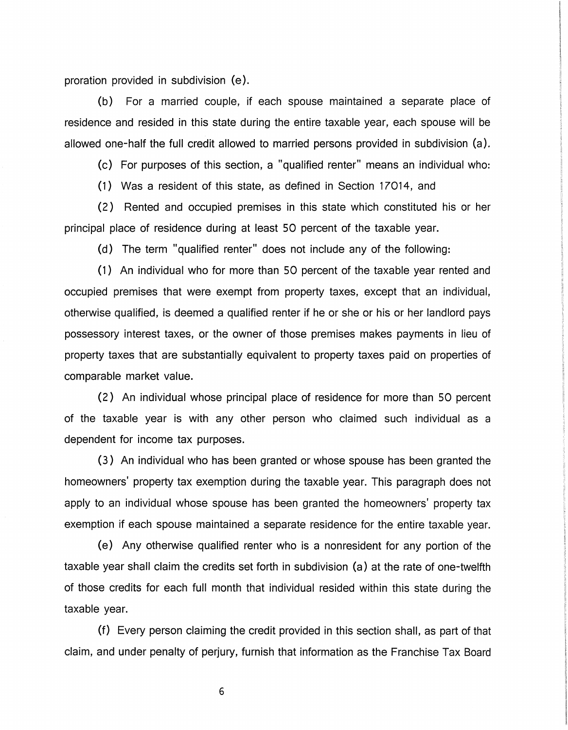proration provided in subdivision (e).

(b) For a married couple, if each spouse maintained a separate place of residence and resided in this state during the entire taxable year, each spouse will be allowed one-half the full credit allowed to married persons provided in subdivision (a).

(c) For purposes of this section, a "qualified renter" means an individual who:

(1) Was a resident of this state, as defined in Section 17014, and

(2) Rented and occupied premises in this state which constituted his or her principal place of residence during at least 50 percent of the taxable year.

(d) The term "qualified renter" does not include any of the following:

(1) An individual who for more than 50 percent of the taxable year rented and occupied premises that were exempt from property taxes, except that an individual, otherwise qualified, is deemed a qualified renter if he or she or his or her landlord pays possessory interest taxes, or the owner of those premises makes payments in lieu of property taxes that are substantially equivalent to property taxes paid on properties of comparable market value.

(2) An individual whose principal place of residence for more than 50 percent of the taxable year is with any other person who claimed such individual as a dependent for income tax purposes.

(3) An individual who has been granted or whose spouse has been granted the homeowners' property tax exemption during the taxable year. This paragraph does not apply to an individual whose spouse has been granted the homeowners' property tax exemption if each spouse maintained a separate residence for the entire taxable year.

(e) Any otherwise qualified renter who is a nonresident for any portion of the taxable year shall claim the credits set forth in subdivision (a) at the rate of one-twelfth of those credits for each full month that individual resided within this state during the taxable year.

(f) Every person claiming the credit provided in this section shall, as part of that claim, and under penalty of perjury, furnish that information as the Franchise Tax Board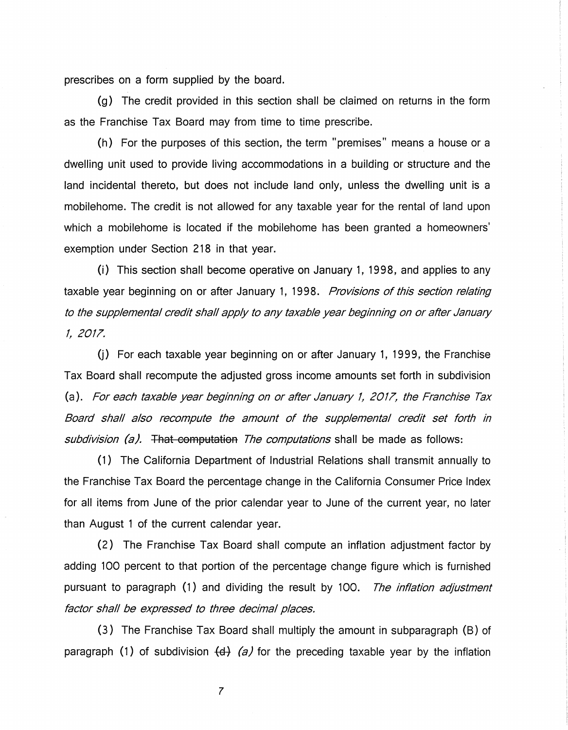prescribes on a form supplied by the board.

(g) The credit provided in this section shall be claimed on returns in the form as the Franchise Tax Board may from time to time prescribe.

{h) For the purposes of this section, the term "premises" means a house or a dwelling unit used to provide living accommodations in a building or structure and the land incidental thereto, but does not include land only, unless the dwelling unit is a mobilehome. The credit is not allowed for any taxable year for the rental of land upon which a mobilehome is located if the mobilehome has been granted a homeowners' exemption under Section 218 in that year.

{i) This section shall become operative on January 1, 1998, and applies to any taxable year beginning on or after January 1, 1998. Provisions of this section relating to the supplemental credit shall apply to any taxable year beginning on or after January 1, 2017.

 $(i)$  For each taxable year beginning on or after January 1, 1999, the Franchise Tax Board shall recompute the adjusted gross income amounts set forth in subdivision (a). For each taxable year beginning on or after January 1, 2017, the Franchise Tax Board shall also recompute the amount of the supplemental credit set forth in subdivision (a). That computation The computations shall be made as follows:

{1) The California Department of Industrial Relations shall transmit annually to the Franchise Tax Board the percentage change in the California Consumer Price Index for all items from June of the prior calendar year to June of the current year, no later than August 1 of the current calendar year.

(2) The Franchise Tax Board shall compute an inflation adjustment factor by adding 100 percent to that portion of the percentage change figure which is furnished pursuant to paragraph (1) and dividing the result by 100. The *inflation adjustment* factor shall be expressed to three decimal places.

(3) The Franchise Tax Board shall multiply the amount in subparagraph (B) of paragraph (1) of subdivision  $\left(\frac{d}{d}\right)$  *(a)* for the preceding taxable year by the inflation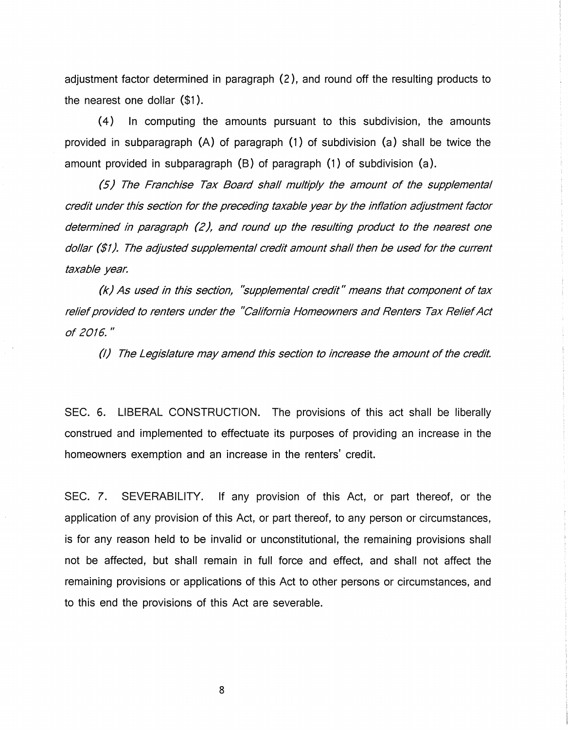adjustment factor determined in paragraph (2 ), and round off the resulting products to the nearest one dollar (\$1 ).

(4) In computing the amounts pursuant to this subdivision, the amounts provided in subparagraph (A) of paragraph (1) of subdivision (a) shall be twice the amount provided in subparagraph (B) of paragraph (1) of subdivision (a).

(5) The Franchise Tax Board shall multiply the amount of the supplemental credit under this section for the preceding taxable year by the inflation adjustment factor determined in paragraph *(2 ),* and round up the resulting product to the nearest one dollar (\$1). The adjusted supplemental credit amount shall then be used for the current taxable year.

*(k)* As used in this section, ''supplemental credit" means that component of tax relief provided to renters under the "California Homeowners and Renters Tax Relief Act of 2016."

(I) The Legislature may amend this section to increase the amount of the credit.

SEC. 6. LIBERAL CONSTRUCTION. The provisions of this act shall be liberally construed and implemented to effectuate its purposes of providing an increase in the homeowners exemption and an increase in the renters' credit.

SEC. *7.* SEVERABILITY. If any provision of this Act, or part thereof, or the application of any provision of this Act, or part thereof, to any person or circumstances, is for any reason held to be invalid or unconstitutional, the remaining provisions shall not be affected, but shall remain in full force and effect, and shall not affect the remaining provisions or applications of this Act to other persons or circumstances, and to this end the provisions of this Act are severable.